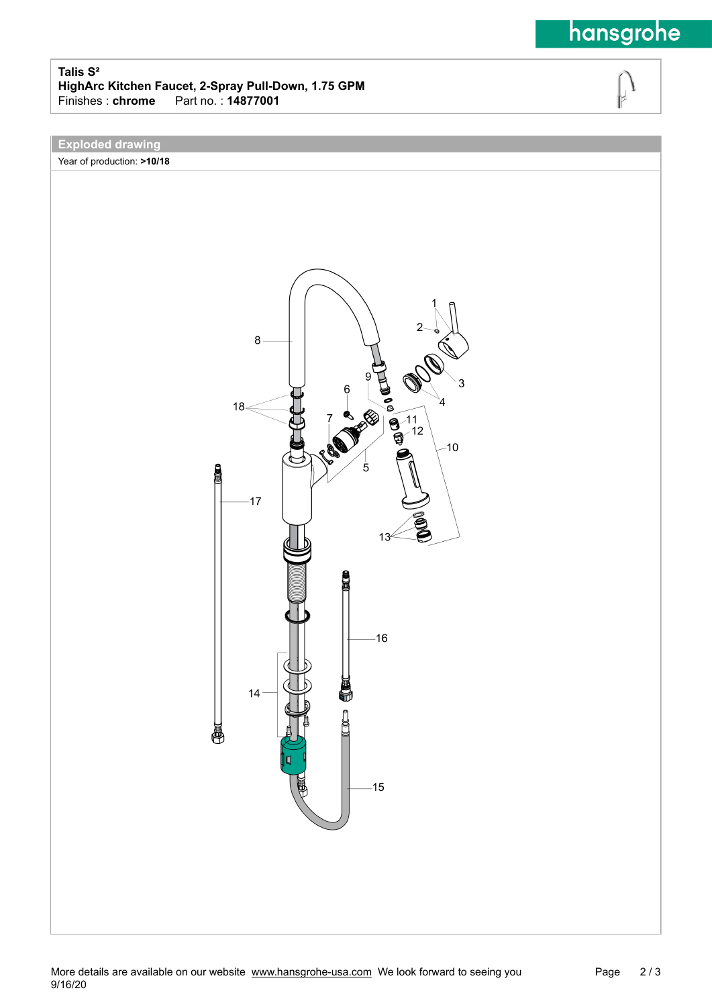# hansgrohe

#### **Talis S² HighArc Kitchen Faucet, 2-Spray Pull-Down, 1.75 GPM** Finishes : **chrome**\_\_\_Part no. : **14877001**



## **Exploded drawing**

Year of production: **>10/18**